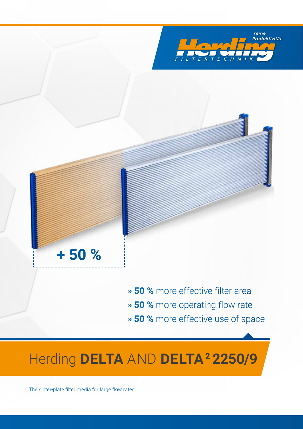



» **50 %** more effective filter area » **50 %** more operating flow rate

» **50 %** more effective use of space

## **Herding DELTA AND DELTA<sup>2</sup> 2250/9**

The sinter-plate filter media for large flow rates